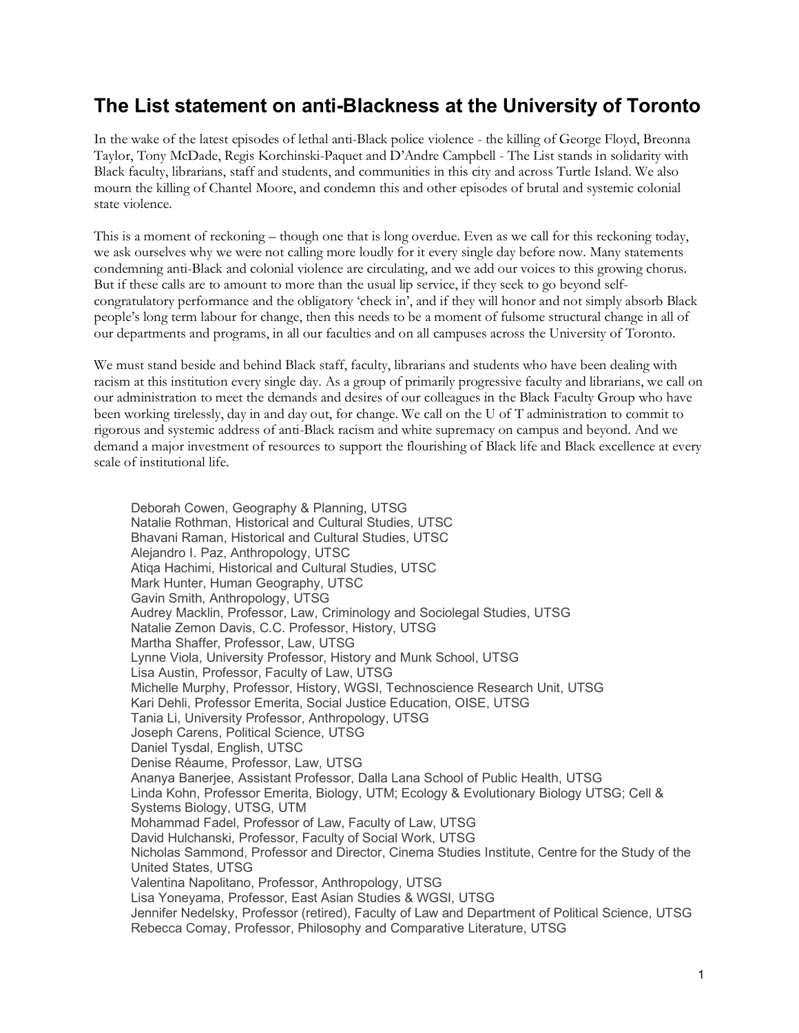## **The List statement on anti-Blackness at the University of Toronto**

In the wake of the latest episodes of lethal anti-Black police violence - the killing of George Floyd, Breonna Taylor, Tony McDade, Regis Korchinski-Paquet and D'Andre Campbell - The List stands in solidarity with Black faculty, librarians, staff and students, and communities in this city and across Turtle Island. We also mourn the killing of Chantel Moore, and condemn this and other episodes of brutal and systemic colonial state violence.

This is a moment of reckoning – though one that is long overdue. Even as we call for this reckoning today, we ask ourselves why we were not calling more loudly for it every single day before now. Many statements condemning anti-Black and colonial violence are circulating, and we add our voices to this growing chorus. But if these calls are to amount to more than the usual lip service, if they seek to go beyond selfcongratulatory performance and the obligatory 'check in', and if they will honor and not simply absorb Black people's long term labour for change, then this needs to be a moment of fulsome structural change in all of our departments and programs, in all our faculties and on all campuses across the University of Toronto.

We must stand beside and behind Black staff, faculty, librarians and students who have been dealing with racism at this institution every single day. As a group of primarily progressive faculty and librarians, we call on our administration to meet the demands and desires of our colleagues in the Black Faculty Group who have been working tirelessly, day in and day out, for change. We call on the U of T administration to commit to rigorous and systemic address of anti-Black racism and white supremacy on campus and beyond. And we demand a major investment of resources to support the flourishing of Black life and Black excellence at every scale of institutional life.

Deborah Cowen, Geography & Planning, UTSG Natalie Rothman, Historical and Cultural Studies, UTSC Bhavani Raman, Historical and Cultural Studies, UTSC Alejandro I. Paz, Anthropology, UTSC Atiqa Hachimi, Historical and Cultural Studies, UTSC Mark Hunter, Human Geography, UTSC Gavin Smith, Anthropology, UTSG Audrey Macklin, Professor, Law, Criminology and Sociolegal Studies, UTSG Natalie Zemon Davis, C.C. Professor, History, UTSG Martha Shaffer, Professor, Law, UTSG Lynne Viola, University Professor, History and Munk School, UTSG Lisa Austin, Professor, Faculty of Law, UTSG Michelle Murphy, Professor, History, WGSI, Technoscience Research Unit, UTSG Kari Dehli, Professor Emerita, Social Justice Education, OISE, UTSG Tania Li, University Professor, Anthropology, UTSG Joseph Carens, Political Science, UTSG Daniel Tysdal, English, UTSC Denise Réaume, Professor, Law, UTSG Ananya Banerjee, Assistant Professor, Dalla Lana School of Public Health, UTSG Linda Kohn, Professor Emerita, Biology, UTM; Ecology & Evolutionary Biology UTSG; Cell & Systems Biology, UTSG, UTM Mohammad Fadel, Professor of Law, Faculty of Law, UTSG David Hulchanski, Professor, Faculty of Social Work, UTSG Nicholas Sammond, Professor and Director, Cinema Studies Institute, Centre for the Study of the United States, UTSG Valentina Napolitano, Professor, Anthropology, UTSG Lisa Yoneyama, Professor, East Asian Studies & WGSI, UTSG Jennifer Nedelsky, Professor (retired), Faculty of Law and Department of Political Science, UTSG Rebecca Comay, Professor, Philosophy and Comparative Literature, UTSG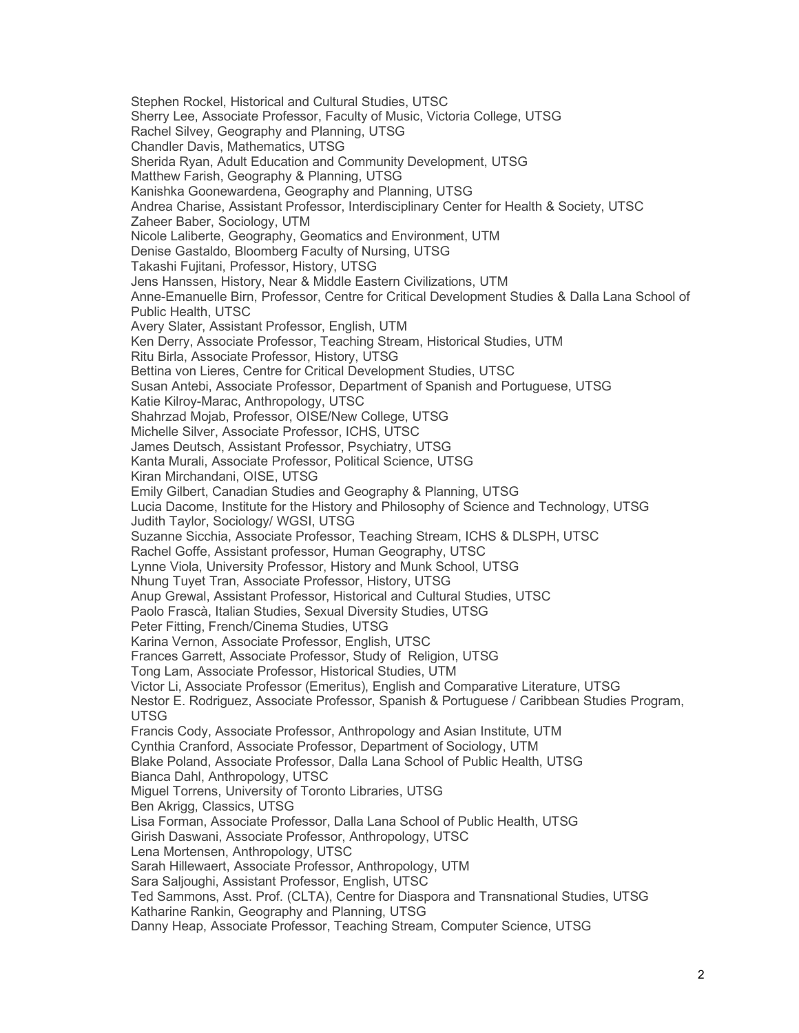Stephen Rockel, Historical and Cultural Studies, UTSC Sherry Lee, Associate Professor, Faculty of Music, Victoria College, UTSG Rachel Silvey, Geography and Planning, UTSG Chandler Davis, Mathematics, UTSG Sherida Ryan, Adult Education and Community Development, UTSG Matthew Farish, Geography & Planning, UTSG Kanishka Goonewardena, Geography and Planning, UTSG Andrea Charise, Assistant Professor, Interdisciplinary Center for Health & Society, UTSC Zaheer Baber, Sociology, UTM Nicole Laliberte, Geography, Geomatics and Environment, UTM Denise Gastaldo, Bloomberg Faculty of Nursing, UTSG Takashi Fujitani, Professor, History, UTSG Jens Hanssen, History, Near & Middle Eastern Civilizations, UTM Anne-Emanuelle Birn, Professor, Centre for Critical Development Studies & Dalla Lana School of Public Health, UTSC Avery Slater, Assistant Professor, English, UTM Ken Derry, Associate Professor, Teaching Stream, Historical Studies, UTM Ritu Birla, Associate Professor, History, UTSG Bettina von Lieres, Centre for Critical Development Studies, UTSC Susan Antebi, Associate Professor, Department of Spanish and Portuguese, UTSG Katie Kilroy-Marac, Anthropology, UTSC Shahrzad Mojab, Professor, OISE/New College, UTSG Michelle Silver, Associate Professor, ICHS, UTSC James Deutsch, Assistant Professor, Psychiatry, UTSG Kanta Murali, Associate Professor, Political Science, UTSG Kiran Mirchandani, OISE, UTSG Emily Gilbert, Canadian Studies and Geography & Planning, UTSG Lucia Dacome, Institute for the History and Philosophy of Science and Technology, UTSG Judith Taylor, Sociology/ WGSI, UTSG Suzanne Sicchia, Associate Professor, Teaching Stream, ICHS & DLSPH, UTSC Rachel Goffe, Assistant professor, Human Geography, UTSC Lynne Viola, University Professor, History and Munk School, UTSG Nhung Tuyet Tran, Associate Professor, History, UTSG Anup Grewal, Assistant Professor, Historical and Cultural Studies, UTSC Paolo Frascà, Italian Studies, Sexual Diversity Studies, UTSG Peter Fitting, French/Cinema Studies, UTSG Karina Vernon, Associate Professor, English, UTSC Frances Garrett, Associate Professor, Study of Religion, UTSG Tong Lam, Associate Professor, Historical Studies, UTM Victor Li, Associate Professor (Emeritus), English and Comparative Literature, UTSG Nestor E. Rodriguez, Associate Professor, Spanish & Portuguese / Caribbean Studies Program, UTSG Francis Cody, Associate Professor, Anthropology and Asian Institute, UTM Cynthia Cranford, Associate Professor, Department of Sociology, UTM Blake Poland, Associate Professor, Dalla Lana School of Public Health, UTSG Bianca Dahl, Anthropology, UTSC Miguel Torrens, University of Toronto Libraries, UTSG Ben Akrigg, Classics, UTSG Lisa Forman, Associate Professor, Dalla Lana School of Public Health, UTSG Girish Daswani, Associate Professor, Anthropology, UTSC Lena Mortensen, Anthropology, UTSC Sarah Hillewaert, Associate Professor, Anthropology, UTM Sara Saljoughi, Assistant Professor, English, UTSC Ted Sammons, Asst. Prof. (CLTA), Centre for Diaspora and Transnational Studies, UTSG Katharine Rankin, Geography and Planning, UTSG Danny Heap, Associate Professor, Teaching Stream, Computer Science, UTSG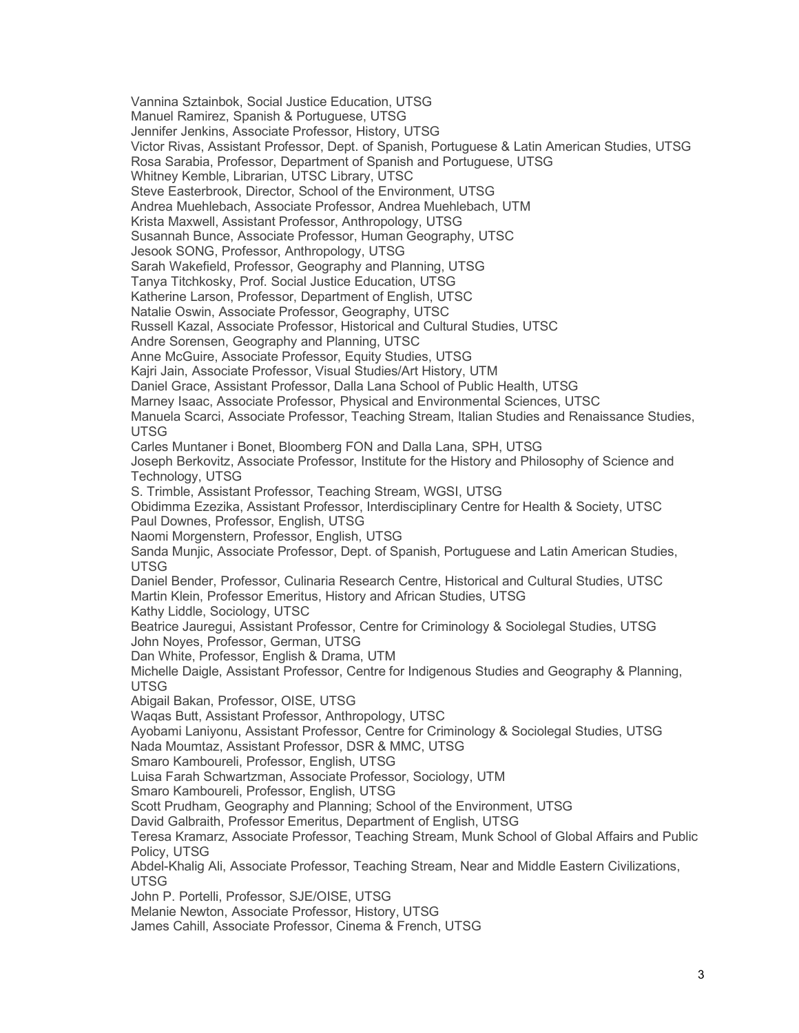Vannina Sztainbok, Social Justice Education, UTSG Manuel Ramirez, Spanish & Portuguese, UTSG Jennifer Jenkins, Associate Professor, History, UTSG Victor Rivas, Assistant Professor, Dept. of Spanish, Portuguese & Latin American Studies, UTSG Rosa Sarabia, Professor, Department of Spanish and Portuguese, UTSG Whitney Kemble, Librarian, UTSC Library, UTSC Steve Easterbrook, Director, School of the Environment, UTSG Andrea Muehlebach, Associate Professor, Andrea Muehlebach, UTM Krista Maxwell, Assistant Professor, Anthropology, UTSG Susannah Bunce, Associate Professor, Human Geography, UTSC Jesook SONG, Professor, Anthropology, UTSG Sarah Wakefield, Professor, Geography and Planning, UTSG Tanya Titchkosky, Prof. Social Justice Education, UTSG Katherine Larson, Professor, Department of English, UTSC Natalie Oswin, Associate Professor, Geography, UTSC Russell Kazal, Associate Professor, Historical and Cultural Studies, UTSC Andre Sorensen, Geography and Planning, UTSC Anne McGuire, Associate Professor, Equity Studies, UTSG Kajri Jain, Associate Professor, Visual Studies/Art History, UTM Daniel Grace, Assistant Professor, Dalla Lana School of Public Health, UTSG Marney Isaac, Associate Professor, Physical and Environmental Sciences, UTSC Manuela Scarci, Associate Professor, Teaching Stream, Italian Studies and Renaissance Studies, UTSG Carles Muntaner i Bonet, Bloomberg FON and Dalla Lana, SPH, UTSG Joseph Berkovitz, Associate Professor, Institute for the History and Philosophy of Science and Technology, UTSG S. Trimble, Assistant Professor, Teaching Stream, WGSI, UTSG Obidimma Ezezika, Assistant Professor, Interdisciplinary Centre for Health & Society, UTSC Paul Downes, Professor, English, UTSG Naomi Morgenstern, Professor, English, UTSG Sanda Munjic, Associate Professor, Dept. of Spanish, Portuguese and Latin American Studies, UTSG Daniel Bender, Professor, Culinaria Research Centre, Historical and Cultural Studies, UTSC Martin Klein, Professor Emeritus, History and African Studies, UTSG Kathy Liddle, Sociology, UTSC Beatrice Jauregui, Assistant Professor, Centre for Criminology & Sociolegal Studies, UTSG John Noyes, Professor, German, UTSG Dan White, Professor, English & Drama, UTM Michelle Daigle, Assistant Professor, Centre for Indigenous Studies and Geography & Planning, UTSG Abigail Bakan, Professor, OISE, UTSG Waqas Butt, Assistant Professor, Anthropology, UTSC Ayobami Laniyonu, Assistant Professor, Centre for Criminology & Sociolegal Studies, UTSG Nada Moumtaz, Assistant Professor, DSR & MMC, UTSG Smaro Kamboureli, Professor, English, UTSG Luisa Farah Schwartzman, Associate Professor, Sociology, UTM Smaro Kamboureli, Professor, English, UTSG Scott Prudham, Geography and Planning; School of the Environment, UTSG David Galbraith, Professor Emeritus, Department of English, UTSG Teresa Kramarz, Associate Professor, Teaching Stream, Munk School of Global Affairs and Public Policy, UTSG Abdel-Khalig Ali, Associate Professor, Teaching Stream, Near and Middle Eastern Civilizations, UTSG John P. Portelli, Professor, SJE/OISE, UTSG Melanie Newton, Associate Professor, History, UTSG James Cahill, Associate Professor, Cinema & French, UTSG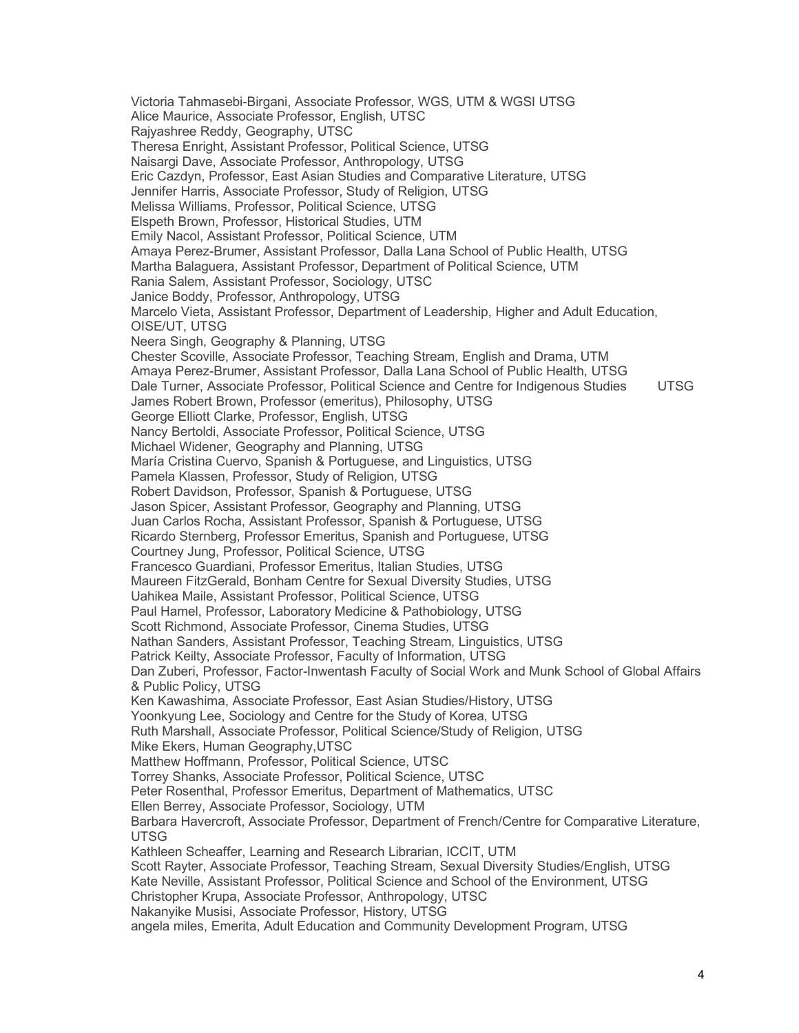Victoria Tahmasebi-Birgani, Associate Professor, WGS, UTM & WGSI UTSG Alice Maurice, Associate Professor, English, UTSC Rajyashree Reddy, Geography, UTSC Theresa Enright, Assistant Professor, Political Science, UTSG Naisargi Dave, Associate Professor, Anthropology, UTSG Eric Cazdyn, Professor, East Asian Studies and Comparative Literature, UTSG Jennifer Harris, Associate Professor, Study of Religion, UTSG Melissa Williams, Professor, Political Science, UTSG Elspeth Brown, Professor, Historical Studies, UTM Emily Nacol, Assistant Professor, Political Science, UTM Amaya Perez-Brumer, Assistant Professor, Dalla Lana School of Public Health, UTSG Martha Balaguera, Assistant Professor, Department of Political Science, UTM Rania Salem, Assistant Professor, Sociology, UTSC Janice Boddy, Professor, Anthropology, UTSG Marcelo Vieta, Assistant Professor, Department of Leadership, Higher and Adult Education, OISE/UT, UTSG Neera Singh, Geography & Planning, UTSG Chester Scoville, Associate Professor, Teaching Stream, English and Drama, UTM Amaya Perez-Brumer, Assistant Professor, Dalla Lana School of Public Health, UTSG Dale Turner, Associate Professor, Political Science and Centre for Indigenous Studies UTSG James Robert Brown, Professor (emeritus), Philosophy, UTSG George Elliott Clarke, Professor, English, UTSG Nancy Bertoldi, Associate Professor, Political Science, UTSG Michael Widener, Geography and Planning, UTSG María Cristina Cuervo, Spanish & Portuguese, and Linguistics, UTSG Pamela Klassen, Professor, Study of Religion, UTSG Robert Davidson, Professor, Spanish & Portuguese, UTSG Jason Spicer, Assistant Professor, Geography and Planning, UTSG Juan Carlos Rocha, Assistant Professor, Spanish & Portuguese, UTSG Ricardo Sternberg, Professor Emeritus, Spanish and Portuguese, UTSG Courtney Jung, Professor, Political Science, UTSG Francesco Guardiani, Professor Emeritus, Italian Studies, UTSG Maureen FitzGerald, Bonham Centre for Sexual Diversity Studies, UTSG Uahikea Maile, Assistant Professor, Political Science, UTSG Paul Hamel, Professor, Laboratory Medicine & Pathobiology, UTSG Scott Richmond, Associate Professor, Cinema Studies, UTSG Nathan Sanders, Assistant Professor, Teaching Stream, Linguistics, UTSG Patrick Keilty, Associate Professor, Faculty of Information, UTSG Dan Zuberi, Professor, Factor-Inwentash Faculty of Social Work and Munk School of Global Affairs & Public Policy, UTSG Ken Kawashima, Associate Professor, East Asian Studies/History, UTSG Yoonkyung Lee, Sociology and Centre for the Study of Korea, UTSG Ruth Marshall, Associate Professor, Political Science/Study of Religion, UTSG Mike Ekers, Human Geography,UTSC Matthew Hoffmann, Professor, Political Science, UTSC Torrey Shanks, Associate Professor, Political Science, UTSC Peter Rosenthal, Professor Emeritus, Department of Mathematics, UTSC Ellen Berrey, Associate Professor, Sociology, UTM Barbara Havercroft, Associate Professor, Department of French/Centre for Comparative Literature, UTSG Kathleen Scheaffer, Learning and Research Librarian, ICCIT, UTM Scott Rayter, Associate Professor, Teaching Stream, Sexual Diversity Studies/English, UTSG Kate Neville, Assistant Professor, Political Science and School of the Environment, UTSG Christopher Krupa, Associate Professor, Anthropology, UTSC Nakanyike Musisi, Associate Professor, History, UTSG angela miles, Emerita, Adult Education and Community Development Program, UTSG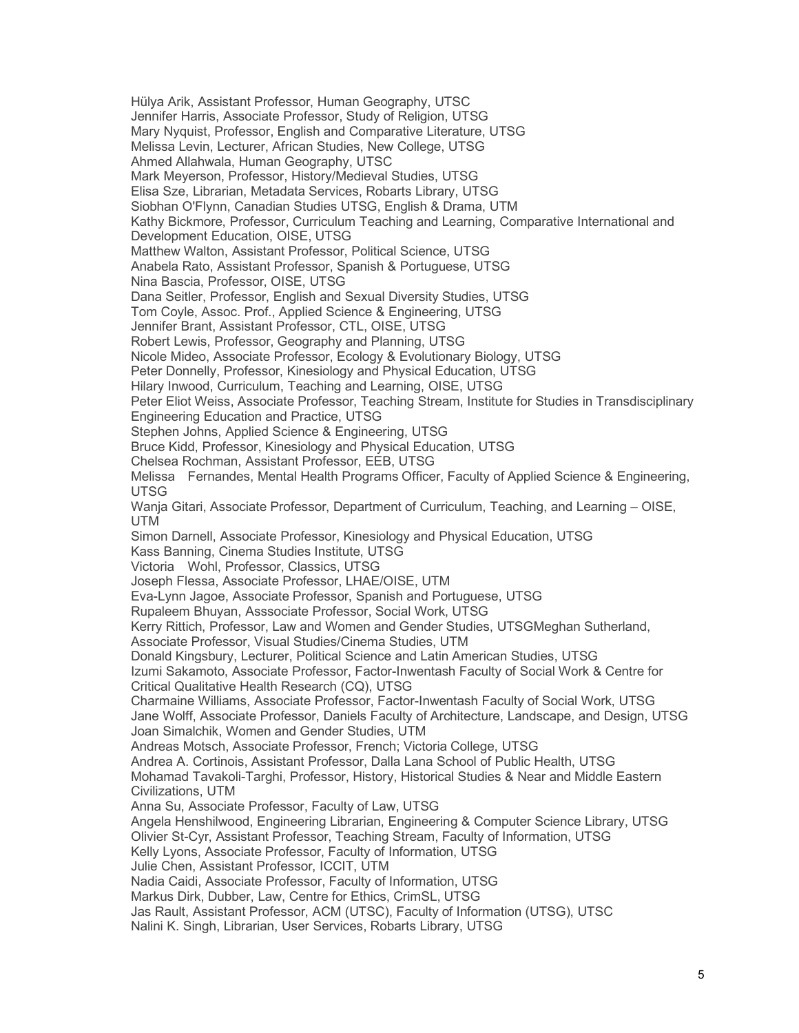Hülya Arik, Assistant Professor, Human Geography, UTSC Jennifer Harris, Associate Professor, Study of Religion, UTSG Mary Nyquist, Professor, English and Comparative Literature, UTSG Melissa Levin, Lecturer, African Studies, New College, UTSG Ahmed Allahwala, Human Geography, UTSC Mark Meyerson, Professor, History/Medieval Studies, UTSG Elisa Sze, Librarian, Metadata Services, Robarts Library, UTSG Siobhan O'Flynn, Canadian Studies UTSG, English & Drama, UTM Kathy Bickmore, Professor, Curriculum Teaching and Learning, Comparative International and Development Education, OISE, UTSG Matthew Walton, Assistant Professor, Political Science, UTSG Anabela Rato, Assistant Professor, Spanish & Portuguese, UTSG Nina Bascia, Professor, OISE, UTSG Dana Seitler, Professor, English and Sexual Diversity Studies, UTSG Tom Coyle, Assoc. Prof., Applied Science & Engineering, UTSG Jennifer Brant, Assistant Professor, CTL, OISE, UTSG Robert Lewis, Professor, Geography and Planning, UTSG Nicole Mideo, Associate Professor, Ecology & Evolutionary Biology, UTSG Peter Donnelly, Professor, Kinesiology and Physical Education, UTSG Hilary Inwood, Curriculum, Teaching and Learning, OISE, UTSG Peter Eliot Weiss, Associate Professor, Teaching Stream, Institute for Studies in Transdisciplinary Engineering Education and Practice, UTSG Stephen Johns, Applied Science & Engineering, UTSG Bruce Kidd, Professor, Kinesiology and Physical Education, UTSG Chelsea Rochman, Assistant Professor, EEB, UTSG Melissa Fernandes, Mental Health Programs Officer, Faculty of Applied Science & Engineering, UTSG Wanja Gitari, Associate Professor, Department of Curriculum, Teaching, and Learning – OISE, UTM Simon Darnell, Associate Professor, Kinesiology and Physical Education, UTSG Kass Banning, Cinema Studies Institute, UTSG Victoria Wohl, Professor, Classics, UTSG Joseph Flessa, Associate Professor, LHAE/OISE, UTM Eva-Lynn Jagoe, Associate Professor, Spanish and Portuguese, UTSG Rupaleem Bhuyan, Asssociate Professor, Social Work, UTSG Kerry Rittich, Professor, Law and Women and Gender Studies, UTSGMeghan Sutherland, Associate Professor, Visual Studies/Cinema Studies, UTM Donald Kingsbury, Lecturer, Political Science and Latin American Studies, UTSG Izumi Sakamoto, Associate Professor, Factor-Inwentash Faculty of Social Work & Centre for Critical Qualitative Health Research (CQ), UTSG Charmaine Williams, Associate Professor, Factor-Inwentash Faculty of Social Work, UTSG Jane Wolff, Associate Professor, Daniels Faculty of Architecture, Landscape, and Design, UTSG Joan Simalchik, Women and Gender Studies, UTM Andreas Motsch, Associate Professor, French; Victoria College, UTSG Andrea A. Cortinois, Assistant Professor, Dalla Lana School of Public Health, UTSG Mohamad Tavakoli-Targhi, Professor, History, Historical Studies & Near and Middle Eastern Civilizations, UTM Anna Su, Associate Professor, Faculty of Law, UTSG Angela Henshilwood, Engineering Librarian, Engineering & Computer Science Library, UTSG Olivier St-Cyr, Assistant Professor, Teaching Stream, Faculty of Information, UTSG Kelly Lyons, Associate Professor, Faculty of Information, UTSG Julie Chen, Assistant Professor, ICCIT, UTM Nadia Caidi, Associate Professor, Faculty of Information, UTSG Markus Dirk, Dubber, Law, Centre for Ethics, CrimSL, UTSG Jas Rault, Assistant Professor, ACM (UTSC), Faculty of Information (UTSG), UTSC Nalini K. Singh, Librarian, User Services, Robarts Library, UTSG